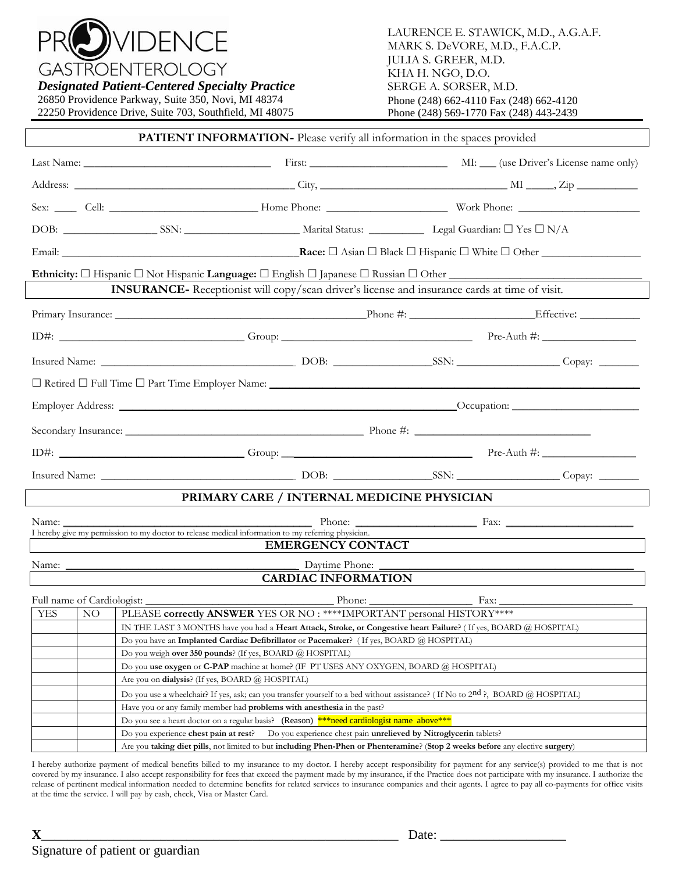

**GASTROENTEROLOGY** 

*Designated Patient-Centered Specialty Practice* 26850 Providence Parkway, Suite 350, Novi, MI 48374

22250 Providence Drive, Suite 703, Southfield, MI 48075

|                                                                                                                               |                            | <b>PATIENT INFORMATION-</b> Please verify all information in the spaces provided                                                                                                                                                     |                                                                          |                  |  |
|-------------------------------------------------------------------------------------------------------------------------------|----------------------------|--------------------------------------------------------------------------------------------------------------------------------------------------------------------------------------------------------------------------------------|--------------------------------------------------------------------------|------------------|--|
|                                                                                                                               |                            |                                                                                                                                                                                                                                      |                                                                          |                  |  |
|                                                                                                                               |                            |                                                                                                                                                                                                                                      |                                                                          |                  |  |
|                                                                                                                               |                            | Sex: Cell: Cell: Cell: Cell: Cell: Cell: Cell: Cell: Cell: Cell: Cell: Cell: Cell: Cell: Cell: Cell: Cell: Cell: Cell: Cell: Cell: Cell: Cell: Cell: Cell: Cell: Cell: Cell: Cell: Cell: Cell: Cell: Cell: Cell: Cell: Cell: C       |                                                                          |                  |  |
|                                                                                                                               |                            |                                                                                                                                                                                                                                      |                                                                          |                  |  |
|                                                                                                                               |                            |                                                                                                                                                                                                                                      |                                                                          |                  |  |
|                                                                                                                               |                            |                                                                                                                                                                                                                                      |                                                                          |                  |  |
|                                                                                                                               |                            | INSURANCE- Receptionist will copy/scan driver's license and insurance cards at time of visit.                                                                                                                                        |                                                                          |                  |  |
|                                                                                                                               |                            | Primary Insurance: Effective. Effective: Effective:                                                                                                                                                                                  |                                                                          |                  |  |
|                                                                                                                               |                            |                                                                                                                                                                                                                                      |                                                                          |                  |  |
|                                                                                                                               |                            | Insured Name: Copay: Copay: Copay: Copay: Copay: Copay: Copay: Copay: Copay: Copay: Copay: Copay: Copay: Copay: Copay: Copay: Copay: Copay: Copay: Copay: Copay: Copay: Copay: Copay: Copay: Copay: Copay: Copay: Copay: Copay       |                                                                          |                  |  |
|                                                                                                                               |                            |                                                                                                                                                                                                                                      |                                                                          |                  |  |
|                                                                                                                               |                            |                                                                                                                                                                                                                                      |                                                                          |                  |  |
|                                                                                                                               |                            |                                                                                                                                                                                                                                      |                                                                          |                  |  |
|                                                                                                                               |                            |                                                                                                                                                                                                                                      |                                                                          |                  |  |
|                                                                                                                               |                            | Insured Name: <u>Copay: Copay: Copay: Copay: Copay: Copay: Copay: Copay: Copay: Copay: Copay: Copay: Copay: Copay: Copay: Copay: Copay: Copay: Copay: Copay: Copay: Copay: Copay: Copay: Copay: Copay: Copay: Copay: Copay: Copa</u> |                                                                          |                  |  |
|                                                                                                                               |                            | PRIMARY CARE / INTERNAL MEDICINE PHYSICIAN                                                                                                                                                                                           |                                                                          |                  |  |
| Name:                                                                                                                         |                            | $\overline{\phantom{a}}$<br>I hereby give my permission to my doctor to release medical information to my referring physician.<br><b>EMERGENCY CONTACT</b>                                                                           |                                                                          | Phone: Fax: Fax: |  |
|                                                                                                                               |                            |                                                                                                                                                                                                                                      |                                                                          |                  |  |
|                                                                                                                               |                            | <b>CARDIAC INFORMATION</b>                                                                                                                                                                                                           |                                                                          |                  |  |
|                                                                                                                               | Full name of Cardiologist: | Phone:                                                                                                                                                                                                                               |                                                                          | Fax:             |  |
| YES                                                                                                                           | NO.                        | PLEASE correctly ANSWER YES OR NO: ****IMPORTANT personal HISTORY****                                                                                                                                                                |                                                                          |                  |  |
|                                                                                                                               |                            | IN THE LAST 3 MONTHS have you had a Heart Attack, Stroke, or Congestive heart Failure? (If yes, BOARD @ HOSPITAL)                                                                                                                    |                                                                          |                  |  |
|                                                                                                                               |                            | Do you have an Implanted Cardiac Defibrillator or Pacemaker? (If yes, BOARD @ HOSPITAL)<br>Do you weigh over 350 pounds? (If yes, BOARD @ HOSPITAL)                                                                                  |                                                                          |                  |  |
|                                                                                                                               |                            | Do you use oxygen or C-PAP machine at home? (IF PT USES ANY OXYGEN, BOARD @ HOSPITAL)                                                                                                                                                |                                                                          |                  |  |
|                                                                                                                               |                            | Are you on <b>dialysis</b> ? (If yes, BOARD @ HOSPITAL)                                                                                                                                                                              |                                                                          |                  |  |
|                                                                                                                               |                            |                                                                                                                                                                                                                                      |                                                                          |                  |  |
|                                                                                                                               |                            | Do you use a wheelchair? If yes, ask; can you transfer yourself to a bed without assistance? (If No to 2nd ?, BOARD @ HOSPITAL)                                                                                                      |                                                                          |                  |  |
|                                                                                                                               |                            | Have you or any family member had <b>problems with anesthesia</b> in the past?                                                                                                                                                       |                                                                          |                  |  |
|                                                                                                                               |                            | Do you see a heart doctor on a regular basis? (Reason) *** need cardiologist name above***                                                                                                                                           |                                                                          |                  |  |
|                                                                                                                               |                            | Do you experience chest pain at rest?                                                                                                                                                                                                | Do you experience chest pain <b>unrelieved by Nitroglycerin</b> tablets? |                  |  |
| Are you taking diet pills, not limited to but including Phen-Phen or Phenteramine? (Stop 2 weeks before any elective surgery) |                            |                                                                                                                                                                                                                                      |                                                                          |                  |  |

I hereby authorize payment of medical benefits billed to my insurance to my doctor. I hereby accept responsibility for payment for any service(s) provided to me that is not covered by my insurance. I also accept responsibility for fees that exceed the payment made by my insurance, if the Practice does not participate with my insurance. I authorize the release of pertinent medical information needed to determine benefits for related services to insurance companies and their agents. I agree to pay all co-payments for office visits at the time the service. I will pay by cash, check, Visa or Master Card.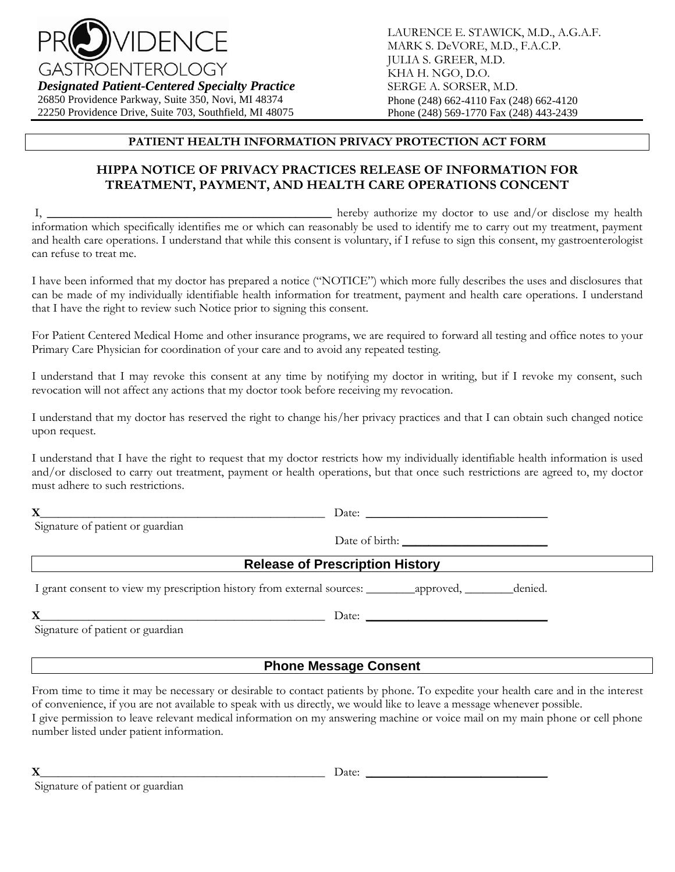

*Designated Patient-Centered Specialty Practice* 26850 Providence Parkway, Suite 350, Novi, MI 48374 22250 Providence Drive, Suite 703, Southfield, MI 48075 LAURENCE E. STAWICK, M.D., A.G.A.F. MARK S. DeVORE, M.D., F.A.C.P. JULIA S. GREER, M.D. KHA H. NGO, D.O. SERGE A. SORSER, M.D. Phone (248) 662-4110 Fax (248) 662-4120 Phone (248) 569-1770 Fax (248) 443-2439

## **PATIENT HEALTH INFORMATION PRIVACY PROTECTION ACT FORM**

# **HIPPA NOTICE OF PRIVACY PRACTICES RELEASE OF INFORMATION FOR TREATMENT, PAYMENT, AND HEALTH CARE OPERATIONS CONCENT**

I, **\_\_\_\_\_\_\_\_\_\_\_\_\_\_\_\_\_\_\_\_\_\_\_\_\_\_\_\_\_\_\_\_\_\_\_\_\_\_\_\_\_\_\_\_\_\_\_** hereby authorize my doctor to use and/or disclose my health information which specifically identifies me or which can reasonably be used to identify me to carry out my treatment, payment and health care operations. I understand that while this consent is voluntary, if I refuse to sign this consent, my gastroenterologist can refuse to treat me.

I have been informed that my doctor has prepared a notice ("NOTICE") which more fully describes the uses and disclosures that can be made of my individually identifiable health information for treatment, payment and health care operations. I understand that I have the right to review such Notice prior to signing this consent.

For Patient Centered Medical Home and other insurance programs, we are required to forward all testing and office notes to your Primary Care Physician for coordination of your care and to avoid any repeated testing.

I understand that I may revoke this consent at any time by notifying my doctor in writing, but if I revoke my consent, such revocation will not affect any actions that my doctor took before receiving my revocation.

I understand that my doctor has reserved the right to change his/her privacy practices and that I can obtain such changed notice upon request.

I understand that I have the right to request that my doctor restricts how my individually identifiable health information is used and/or disclosed to carry out treatment, payment or health operations, but that once such restrictions are agreed to, my doctor must adhere to such restrictions.

**X**\_\_\_\_\_\_\_\_\_\_\_\_\_\_\_\_\_\_\_\_\_\_\_\_\_\_\_\_\_\_\_\_\_\_\_\_\_\_\_\_\_\_\_\_\_\_\_ Date: **\_\_\_\_\_\_\_\_\_\_\_\_\_\_\_\_\_\_\_\_\_\_\_\_\_\_\_\_\_\_**

Signature of patient or guardian

Date of birth: **\_\_\_\_\_\_\_\_\_\_\_\_\_\_\_\_\_\_\_\_\_\_**

| <b>Release of Prescription History</b> |  |
|----------------------------------------|--|
|----------------------------------------|--|

I grant consent to view my prescription history from external sources: \_\_\_\_\_\_\_\_approved, \_\_\_\_\_\_\_\_denied.

**X**\_\_\_\_\_\_\_\_\_\_\_\_\_\_\_\_\_\_\_\_\_\_\_\_\_\_\_\_\_\_\_\_\_\_\_\_\_\_\_\_\_\_\_\_\_\_\_ Date: **\_\_\_\_\_\_\_\_\_\_\_\_\_\_\_\_\_\_\_\_\_\_\_\_\_\_\_\_\_\_**

Signature of patient or guardian

# **Phone Message Consent**

From time to time it may be necessary or desirable to contact patients by phone. To expedite your health care and in the interest of convenience, if you are not available to speak with us directly, we would like to leave a message whenever possible. I give permission to leave relevant medical information on my answering machine or voice mail on my main phone or cell phone number listed under patient information.

Signature of patient or guardian

**X**\_\_\_\_\_\_\_\_\_\_\_\_\_\_\_\_\_\_\_\_\_\_\_\_\_\_\_\_\_\_\_\_\_\_\_\_\_\_\_\_\_\_\_\_\_\_\_ Date: **\_\_\_\_\_\_\_\_\_\_\_\_\_\_\_\_\_\_\_\_\_\_\_\_\_\_\_\_\_\_**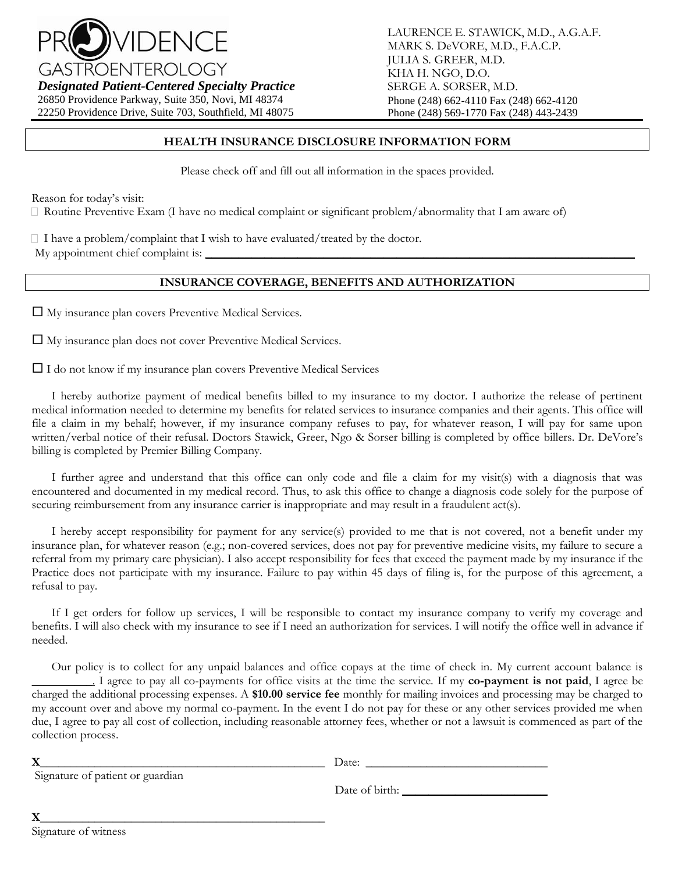

*Designated Patient-Centered Specialty Practice*

26850 Providence Parkway, Suite 350, Novi, MI 48374 22250 Providence Drive, Suite 703, Southfield, MI 48075 LAURENCE E. STAWICK, M.D., A.G.A.F. MARK S. DeVORE, M.D., F.A.C.P. JULIA S. GREER, M.D. KHA H. NGO, D.O. SERGE A. SORSER, M.D. Phone (248) 662-4110 Fax (248) 662-4120 Phone (248) 569-1770 Fax (248) 443-2439

#### **HEALTH INSURANCE DISCLOSURE INFORMATION FORM**

Please check off and fill out all information in the spaces provided.

Reason for today's visit:

Routine Preventive Exam (I have no medical complaint or significant problem/abnormality that I am aware of)

 $\Box$  I have a problem/complaint that I wish to have evaluated/treated by the doctor.

My appointment chief complaint is:

# **INSURANCE COVERAGE, BENEFITS AND AUTHORIZATION**

My insurance plan covers Preventive Medical Services.

My insurance plan does not cover Preventive Medical Services.

 $\Box$  I do not know if my insurance plan covers Preventive Medical Services

I hereby authorize payment of medical benefits billed to my insurance to my doctor. I authorize the release of pertinent medical information needed to determine my benefits for related services to insurance companies and their agents. This office will file a claim in my behalf; however, if my insurance company refuses to pay, for whatever reason, I will pay for same upon written/verbal notice of their refusal. Doctors Stawick, Greer, Ngo & Sorser billing is completed by office billers. Dr. DeVore's billing is completed by Premier Billing Company.

I further agree and understand that this office can only code and file a claim for my visit(s) with a diagnosis that was encountered and documented in my medical record. Thus, to ask this office to change a diagnosis code solely for the purpose of securing reimbursement from any insurance carrier is inappropriate and may result in a fraudulent act(s).

I hereby accept responsibility for payment for any service(s) provided to me that is not covered, not a benefit under my insurance plan, for whatever reason (e.g.; non-covered services, does not pay for preventive medicine visits, my failure to secure a referral from my primary care physician). I also accept responsibility for fees that exceed the payment made by my insurance if the Practice does not participate with my insurance. Failure to pay within 45 days of filing is, for the purpose of this agreement, a refusal to pay.

If I get orders for follow up services, I will be responsible to contact my insurance company to verify my coverage and benefits. I will also check with my insurance to see if I need an authorization for services. I will notify the office well in advance if needed.

Our policy is to collect for any unpaid balances and office copays at the time of check in. My current account balance is **\_\_\_\_\_\_\_\_\_\_**. I agree to pay all co-payments for office visits at the time the service. If my **co-payment is not paid**, I agree be charged the additional processing expenses. A **\$10.00 service fee** monthly for mailing invoices and processing may be charged to my account over and above my normal co-payment. In the event I do not pay for these or any other services provided me when due, I agree to pay all cost of collection, including reasonable attorney fees, whether or not a lawsuit is commenced as part of the collection process.

|                                  | Date:          |
|----------------------------------|----------------|
| Signature of patient or guardian |                |
|                                  | Date of birth: |
|                                  |                |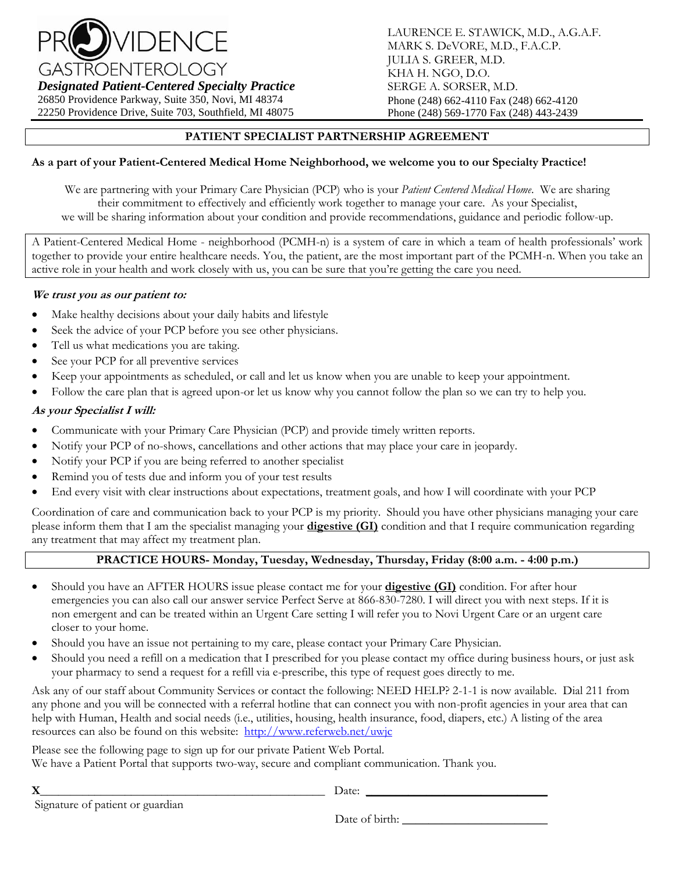

*Designated Patient-Centered Specialty Practice*

26850 Providence Parkway, Suite 350, Novi, MI 48374 22250 Providence Drive, Suite 703, Southfield, MI 48075 LAURENCE E. STAWICK, M.D., A.G.A.F. MARK S. DeVORE, M.D., F.A.C.P. JULIA S. GREER, M.D. KHA H. NGO, D.O. SERGE A. SORSER, M.D. Phone (248) 662-4110 Fax (248) 662-4120 Phone (248) 569-1770 Fax (248) 443-2439

# **PATIENT SPECIALIST PARTNERSHIP AGREEMENT**

### **As a part of your Patient-Centered Medical Home Neighborhood, we welcome you to our Specialty Practice!**

We are partnering with your Primary Care Physician (PCP) who is your *Patient Centered Medical Home*. We are sharing their commitment to effectively and efficiently work together to manage your care. As your Specialist, we will be sharing information about your condition and provide recommendations, guidance and periodic follow-up.

A Patient-Centered Medical Home - neighborhood (PCMH-n) is a system of care in which a team of health professionals' work together to provide your entire healthcare needs. You, the patient, are the most important part of the PCMH-n. When you take an active role in your health and work closely with us, you can be sure that you're getting the care you need.

#### **We trust you as our patient to:**

- Make healthy decisions about your daily habits and lifestyle
- Seek the advice of your PCP before you see other physicians.
- Tell us what medications you are taking.
- See your PCP for all preventive services
- Keep your appointments as scheduled, or call and let us know when you are unable to keep your appointment.
- Follow the care plan that is agreed upon-or let us know why you cannot follow the plan so we can try to help you.

#### **As your Specialist I will:**

- Communicate with your Primary Care Physician (PCP) and provide timely written reports.
- Notify your PCP of no-shows, cancellations and other actions that may place your care in jeopardy.
- Notify your PCP if you are being referred to another specialist
- Remind you of tests due and inform you of your test results
- End every visit with clear instructions about expectations, treatment goals, and how I will coordinate with your PCP

Coordination of care and communication back to your PCP is my priority. Should you have other physicians managing your care please inform them that I am the specialist managing your **digestive (GI)** condition and that I require communication regarding any treatment that may affect my treatment plan.

#### **PRACTICE HOURS- Monday, Tuesday, Wednesday, Thursday, Friday (8:00 a.m. - 4:00 p.m.)**

- Should you have an AFTER HOURS issue please contact me for your **digestive (GI)** condition. For after hour emergencies you can also call our answer service Perfect Serve at 866-830-7280. I will direct you with next steps. If it is non emergent and can be treated within an Urgent Care setting I will refer you to Novi Urgent Care or an urgent care closer to your home.
- Should you have an issue not pertaining to my care, please contact your Primary Care Physician.
- Should you need a refill on a medication that I prescribed for you please contact my office during business hours, or just ask your pharmacy to send a request for a refill via e-prescribe, this type of request goes directly to me.

Ask any of our staff about Community Services or contact the following: NEED HELP? 2-1-1 is now available. Dial 211 from any phone and you will be connected with a referral hotline that can connect you with non-profit agencies in your area that can help with Human, Health and social needs (i.e., utilities, housing, health insurance, food, diapers, etc.) A listing of the area resources can also be found on this website: <http://www.referweb.net/uwjc>

Please see the following page to sign up for our private Patient Web Portal. We have a Patient Portal that supports two-way, secure and compliant communication. Thank you.

**X**\_\_\_\_\_\_\_\_\_\_\_\_\_\_\_\_\_\_\_\_\_\_\_\_\_\_\_\_\_\_\_\_\_\_\_\_\_\_\_\_\_\_\_\_\_\_\_ Date: **\_\_\_\_\_\_\_\_\_\_\_\_\_\_\_\_\_\_\_\_\_\_\_\_\_\_\_\_\_\_** Signature of patient or guardian

Date of birth: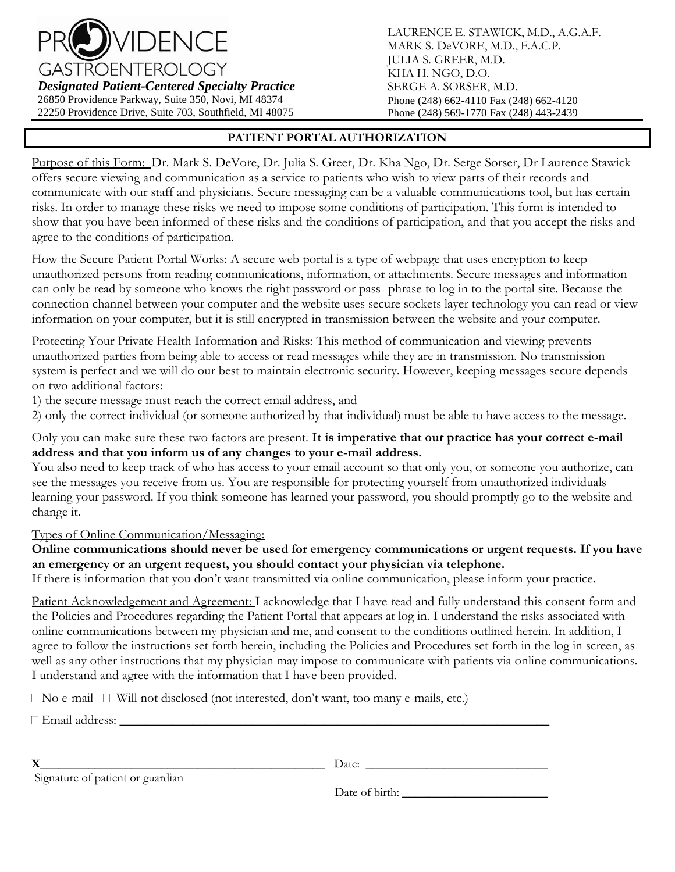

*Designated Patient-Centered Specialty Practice* 26850 Providence Parkway, Suite 350, Novi, MI 48374

22250 Providence Drive, Suite 703, Southfield, MI 48075

LAURENCE E. STAWICK, M.D., A.G.A.F. MARK S. DeVORE, M.D., F.A.C.P. JULIA S. GREER, M.D. KHA H. NGO, D.O. SERGE A. SORSER, M.D. Phone (248) 662-4110 Fax (248) 662-4120 Phone (248) 569-1770 Fax (248) 443-2439

## **PATIENT PORTAL AUTHORIZATION**

Purpose of this Form: Dr. Mark S. DeVore, Dr. Julia S. Greer, Dr. Kha Ngo, Dr. Serge Sorser, Dr Laurence Stawick offers secure viewing and communication as a service to patients who wish to view parts of their records and communicate with our staff and physicians. Secure messaging can be a valuable communications tool, but has certain risks. In order to manage these risks we need to impose some conditions of participation. This form is intended to show that you have been informed of these risks and the conditions of participation, and that you accept the risks and agree to the conditions of participation.

How the Secure Patient Portal Works: A secure web portal is a type of webpage that uses encryption to keep unauthorized persons from reading communications, information, or attachments. Secure messages and information can only be read by someone who knows the right password or pass- phrase to log in to the portal site. Because the connection channel between your computer and the website uses secure sockets layer technology you can read or view information on your computer, but it is still encrypted in transmission between the website and your computer.

Protecting Your Private Health Information and Risks: This method of communication and viewing prevents unauthorized parties from being able to access or read messages while they are in transmission. No transmission system is perfect and we will do our best to maintain electronic security. However, keeping messages secure depends on two additional factors:

1) the secure message must reach the correct email address, and

2) only the correct individual (or someone authorized by that individual) must be able to have access to the message.

Only you can make sure these two factors are present. **It is imperative that our practice has your correct e-mail address and that you inform us of any changes to your e-mail address.** 

You also need to keep track of who has access to your email account so that only you, or someone you authorize, can see the messages you receive from us. You are responsible for protecting yourself from unauthorized individuals learning your password. If you think someone has learned your password, you should promptly go to the website and change it.

Types of Online Communication/Messaging:

**Online communications should never be used for emergency communications or urgent requests. If you have an emergency or an urgent request, you should contact your physician via telephone.**

If there is information that you don't want transmitted via online communication, please inform your practice.

Patient Acknowledgement and Agreement: I acknowledge that I have read and fully understand this consent form and the Policies and Procedures regarding the Patient Portal that appears at log in. I understand the risks associated with online communications between my physician and me, and consent to the conditions outlined herein. In addition, I agree to follow the instructions set forth herein, including the Policies and Procedures set forth in the log in screen, as well as any other instructions that my physician may impose to communicate with patients via online communications. I understand and agree with the information that I have been provided.

 $\Box$  No e-mail  $\Box$  Will not disclosed (not interested, don't want, too many e-mails, etc.)

 $\Box$  Email address:

**X**\_\_\_\_\_\_\_\_\_\_\_\_\_\_\_\_\_\_\_\_\_\_\_\_\_\_\_\_\_\_\_\_\_\_\_\_\_\_\_\_\_\_\_\_\_\_\_ Date: **\_\_\_\_\_\_\_\_\_\_\_\_\_\_\_\_\_\_\_\_\_\_\_\_\_\_\_\_\_\_**

Signature of patient or guardian

Date of birth: **\_\_\_\_\_\_\_\_\_\_\_\_\_\_\_\_\_\_\_\_\_\_**